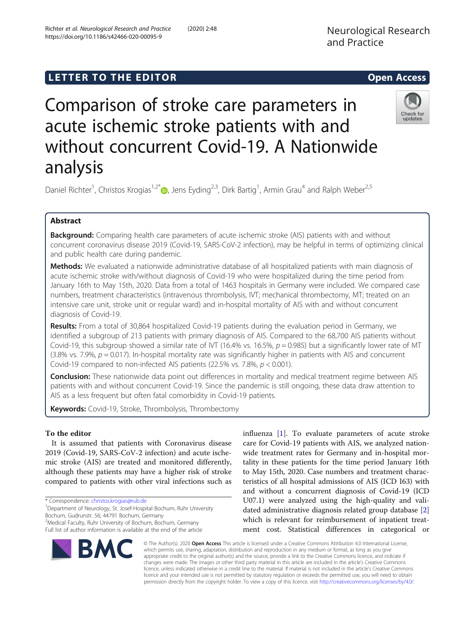https://doi.org/10.1186/s42466-020-00095-9

Richter et al. Neurological Research and Practice (2020) 2:48

# L E T T ER TOR OPEN ACCESS TO THE EXPLORATION OF THE EXPLORATION OF THE EXPLORATION OF THE EXPLORATION OF THE <br>The exploration of the exploration of the exploration of the exploration of the exploration of the exploration



Comparison of stroke care parameters in acute ischemic stroke patients with and without concurrent Covid-19. A Nationwide analysis

Daniel Richter<sup>1</sup>, Christos Krogias<sup>1,2\*</sup>®, Jens Eyding<sup>2,3</sup>, Dirk Bartig<sup>1</sup>, Armin Grau<sup>4</sup> and Ralph Weber<sup>2,5</sup>

**Background:** Comparing health care parameters of acute ischemic stroke (AIS) patients with and without concurrent coronavirus disease 2019 (Covid-19, SARS-CoV-2 infection), may be helpful in terms of optimizing clinical and public health care during pandemic.

Methods: We evaluated a nationwide administrative database of all hospitalized patients with main diagnosis of acute ischemic stroke with/without diagnosis of Covid-19 who were hospitalized during the time period from January 16th to May 15th, 2020. Data from a total of 1463 hospitals in Germany were included. We compared case numbers, treatment characteristics (intravenous thrombolysis, IVT; mechanical thrombectomy, MT; treated on an intensive care unit, stroke unit or regular ward) and in-hospital mortality of AIS with and without concurrent diagnosis of Covid-19.

Results: From a total of 30,864 hospitalized Covid-19 patients during the evaluation period in Germany, we identified a subgroup of 213 patients with primary diagnosis of AIS. Compared to the 68,700 AIS patients without Covid-19, this subgroup showed a similar rate of IVT (16.4% vs. 16.5%,  $p = 0.985$ ) but a significantly lower rate of MT (3.8% vs. 7.9%,  $p = 0.017$ ). In-hospital mortality rate was significantly higher in patients with AIS and concurrent Covid-19 compared to non-infected AIS patients (22.5% vs. 7.8%, p < 0.001).

**Conclusion:** These nationwide data point out differences in mortality and medical treatment regime between AIS patients with and without concurrent Covid-19. Since the pandemic is still ongoing, these data draw attention to AIS as a less frequent but often fatal comorbidity in Covid-19 patients.

Keywords: Covid-19, Stroke, Thrombolysis, Thrombectomy

## To the editor

It is assumed that patients with Coronavirus disease 2019 (Covid-19, SARS-CoV-2 infection) and acute ischemic stroke (AIS) are treated and monitored differently, although these patients may have a higher risk of stroke compared to patients with other viral infections such as

\* Correspondence: [christos.krogias@rub.de](mailto:christos.krogias@rub.de) <sup>1</sup>

<sup>1</sup>Department of Neurology, St. Josef-Hospital Bochum, Ruhr University Bochum, Gudrunstr. 56, 44791 Bochum, Germany

<sup>2</sup>Medical Faculty, Ruhr University of Bochum, Bochum, Germany

Full list of author information is available at the end of the article

influenza [[1\]](#page-2-0). To evaluate parameters of acute stroke care for Covid-19 patients with AIS, we analyzed nationwide treatment rates for Germany and in-hospital mortality in these patients for the time period January 16th to May 15th, 2020. Case numbers and treatment characteristics of all hospital admissions of AIS (ICD I63) with and without a concurrent diagnosis of Covid-19 (ICD U07.1) were analyzed using the high-quality and validated administrative diagnosis related group database [\[2](#page-2-0)] which is relevant for reimbursement of inpatient treatment cost. Statistical differences in categorical or



© The Author(s). 2020 Open Access This article is licensed under a Creative Commons Attribution 4.0 International License, which permits use, sharing, adaptation, distribution and reproduction in any medium or format, as long as you give appropriate credit to the original author(s) and the source, provide a link to the Creative Commons licence, and indicate if changes were made. The images or other third party material in this article are included in the article's Creative Commons licence, unless indicated otherwise in a credit line to the material. If material is not included in the article's Creative Commons licence and your intended use is not permitted by statutory regulation or exceeds the permitted use, you will need to obtain permission directly from the copyright holder. To view a copy of this licence, visit [http://creativecommons.org/licenses/by/4.0/.](http://creativecommons.org/licenses/by/4.0/)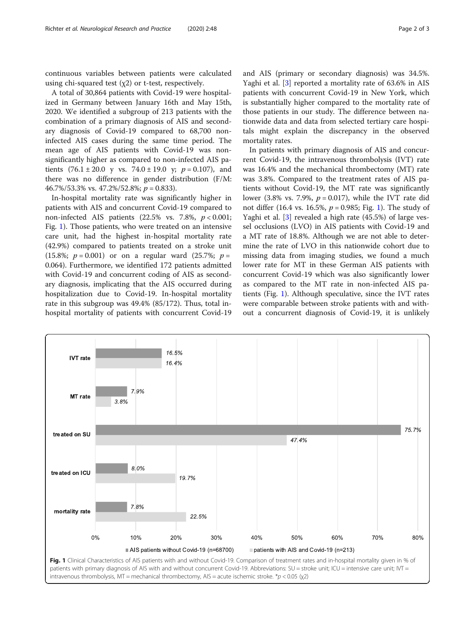continuous variables between patients were calculated using chi-squared test  $(\chi 2)$  or t-test, respectively.

A total of 30,864 patients with Covid-19 were hospitalized in Germany between January 16th and May 15th, 2020. We identified a subgroup of 213 patients with the combination of a primary diagnosis of AIS and secondary diagnosis of Covid-19 compared to 68,700 noninfected AIS cases during the same time period. The mean age of AIS patients with Covid-19 was nonsignificantly higher as compared to non-infected AIS patients  $(76.1 \pm 20.0 \text{ y vs. } 74.0 \pm 19.0 \text{ y}; p = 0.107)$ , and there was no difference in gender distribution (F/M: 46.7%/53.3% vs. 47.2%/52.8%;  $p = 0.833$ ).

In-hospital mortality rate was significantly higher in patients with AIS and concurrent Covid-19 compared to non-infected AIS patients (22.5% vs. 7.8%,  $p < 0.001$ ; Fig. 1). Those patients, who were treated on an intensive care unit, had the highest in-hospital mortality rate (42.9%) compared to patients treated on a stroke unit (15.8%;  $p = 0.001$ ) or on a regular ward (25.7%;  $p =$ 0.064). Furthermore, we identified 172 patients admitted with Covid-19 and concurrent coding of AIS as secondary diagnosis, implicating that the AIS occurred during hospitalization due to Covid-19. In-hospital mortality rate in this subgroup was 49.4% (85/172). Thus, total inhospital mortality of patients with concurrent Covid-19 and AIS (primary or secondary diagnosis) was 34.5%. Yaghi et al. [\[3](#page-2-0)] reported a mortality rate of 63.6% in AIS patients with concurrent Covid-19 in New York, which is substantially higher compared to the mortality rate of those patients in our study. The difference between nationwide data and data from selected tertiary care hospitals might explain the discrepancy in the observed

mortality rates. In patients with primary diagnosis of AIS and concurrent Covid-19, the intravenous thrombolysis (IVT) rate was 16.4% and the mechanical thrombectomy (MT) rate was 3.8%. Compared to the treatment rates of AIS patients without Covid-19, the MT rate was significantly lower (3.8% vs. 7.9%,  $p = 0.017$ ), while the IVT rate did not differ (16.4 vs. 16.5%,  $p = 0.985$ ; Fig. 1). The study of Yaghi et al. [[3\]](#page-2-0) revealed a high rate (45.5%) of large vessel occlusions (LVO) in AIS patients with Covid-19 and a MT rate of 18.8%. Although we are not able to determine the rate of LVO in this nationwide cohort due to missing data from imaging studies, we found a much lower rate for MT in these German AIS patients with concurrent Covid-19 which was also significantly lower as compared to the MT rate in non-infected AIS patients (Fig. 1). Although speculative, since the IVT rates were comparable between stroke patients with and without a concurrent diagnosis of Covid-19, it is unlikely